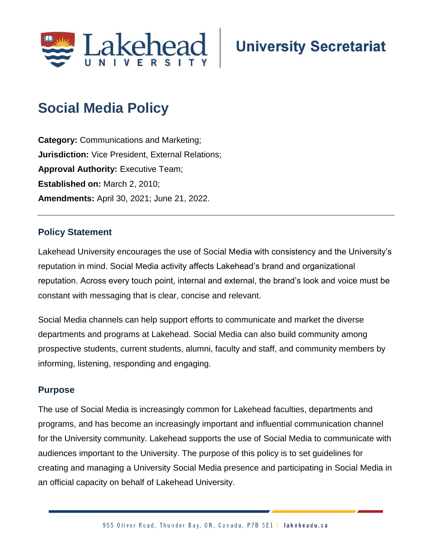

# **Social Media Policy**

**Category:** Communications and Marketing; **Jurisdiction:** Vice President, External Relations; **Approval Authority:** Executive Team; **Established on:** March 2, 2010; **Amendments:** April 30, 2021; June 21, 2022.

# **Policy Statement**

Lakehead University encourages the use of Social Media with consistency and the University's reputation in mind. Social Media activity affects Lakehead's brand and organizational reputation. Across every touch point, internal and external, the brand's look and voice must be constant with messaging that is clear, concise and relevant.

Social Media channels can help support efforts to communicate and market the diverse departments and programs at Lakehead. Social Media can also build community among prospective students, current students, alumni, faculty and staff, and community members by informing, listening, responding and engaging.

## **Purpose**

The use of Social Media is increasingly common for Lakehead faculties, departments and programs, and has become an increasingly important and influential communication channel for the University community. Lakehead supports the use of Social Media to communicate with audiences important to the University. The purpose of this policy is to set guidelines for creating and managing a University Social Media presence and participating in Social Media in an official capacity on behalf of Lakehead University.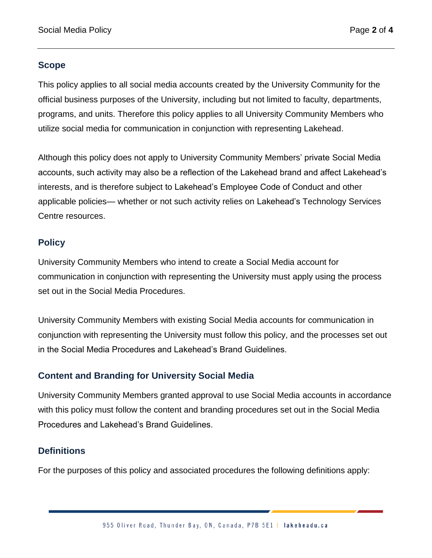## **Scope**

This policy applies to all social media accounts created by the University Community for the official business purposes of the University, including but not limited to faculty, departments, programs, and units. Therefore this policy applies to all University Community Members who utilize social media for communication in conjunction with representing Lakehead.

Although this policy does not apply to University Community Members' private Social Media accounts, such activity may also be a reflection of the Lakehead brand and affect Lakehead's interests, and is therefore subject to Lakehead's Employee Code of Conduct and other applicable policies— whether or not such activity relies on Lakehead's Technology Services Centre resources.

## **Policy**

University Community Members who intend to create a Social Media account for communication in conjunction with representing the University must apply using the process set out in the Social Media Procedures.

University Community Members with existing Social Media accounts for communication in conjunction with representing the University must follow this policy, and the processes set out in the Social Media Procedures and Lakehead's Brand Guidelines.

# **Content and Branding for University Social Media**

University Community Members granted approval to use Social Media accounts in accordance with this policy must follow the content and branding procedures set out in the Social Media Procedures and Lakehead's Brand Guidelines.

# **Definitions**

For the purposes of this policy and associated procedures the following definitions apply: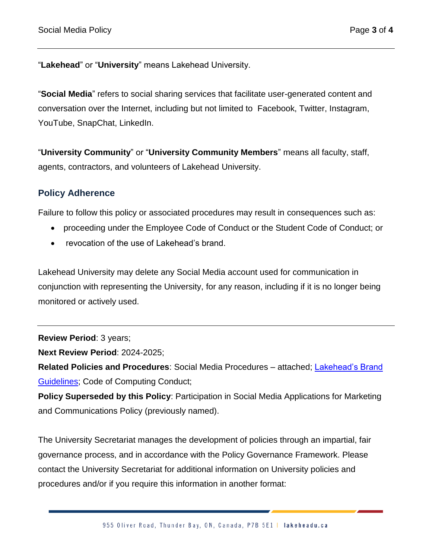"**Lakehead**" or "**University**" means Lakehead University.

"**Social Media**" refers to social sharing services that facilitate user-generated content and conversation over the Internet, including but not limited to Facebook, Twitter, Instagram, YouTube, SnapChat, LinkedIn.

"**University Community**" or "**University Community Members**" means all faculty, staff, agents, contractors, and volunteers of Lakehead University.

## **Policy Adherence**

Failure to follow this policy or associated procedures may result in consequences such as:

- proceeding under the Employee Code of Conduct or the Student Code of Conduct; or
- revocation of the use of Lakehead's brand.

Lakehead University may delete any Social Media account used for communication in conjunction with representing the University, for any reason, including if it is no longer being monitored or actively used.

**Review Period**: 3 years;

**Next Review Period**: 2024-2025;

**Related Policies and Procedures**: Social Media Procedures – attached; [Lakehead's Brand](https://www.lakeheadu.ca/faculty-and-staff/departments/services/marketing-communications/marketing/brand-guidelines)  [Guidelines;](https://www.lakeheadu.ca/faculty-and-staff/departments/services/marketing-communications/marketing/brand-guidelines) Code of Computing Conduct;

**Policy Superseded by this Policy**: Participation in Social Media Applications for Marketing and Communications Policy (previously named).

The University Secretariat manages the development of policies through an impartial, fair governance process, and in accordance with the Policy Governance Framework. Please contact the University Secretariat for additional information on University policies and procedures and/or if you require this information in another format: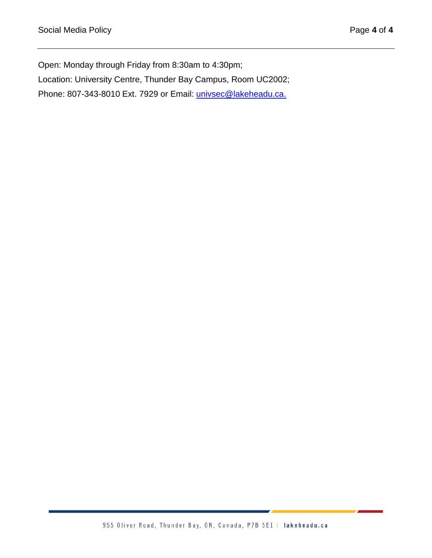Open: Monday through Friday from 8:30am to 4:30pm; Location: University Centre, Thunder Bay Campus, Room UC2002; Phone: 807-343-8010 Ext. 7929 or Email: [univsec@lakeheadu.ca.](mailto:univsec@lakeheadu.ca)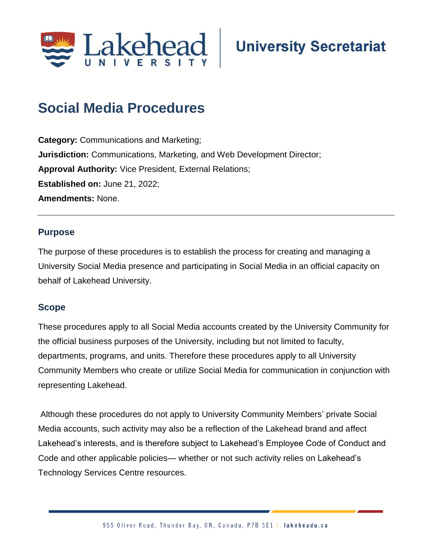

# **Social Media Procedures**

**Category:** Communications and Marketing; **Jurisdiction:** Communications, Marketing, and Web Development Director; **Approval Authority:** Vice President, External Relations; **Established on:** June 21, 2022; **Amendments:** None.

### **Purpose**

The purpose of these procedures is to establish the process for creating and managing a University Social Media presence and participating in Social Media in an official capacity on behalf of Lakehead University.

#### **Scope**

These procedures apply to all Social Media accounts created by the University Community for the official business purposes of the University, including but not limited to faculty, departments, programs, and units. Therefore these procedures apply to all University Community Members who create or utilize Social Media for communication in conjunction with representing Lakehead.

Although these procedures do not apply to University Community Members' private Social Media accounts, such activity may also be a reflection of the Lakehead brand and affect Lakehead's interests, and is therefore subject to Lakehead's Employee Code of Conduct and Code and other applicable policies— whether or not such activity relies on Lakehead's Technology Services Centre resources.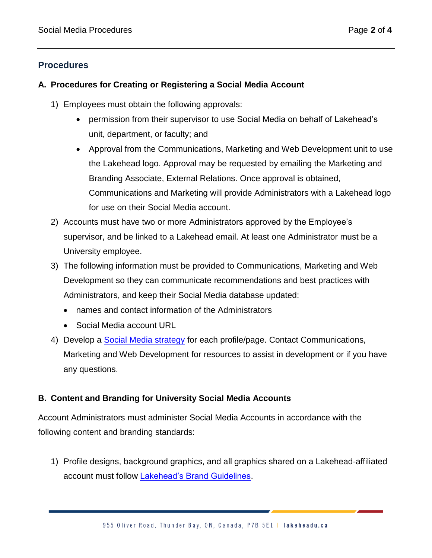# **Procedures**

### **A. Procedures for Creating or Registering a Social Media Account**

- 1) Employees must obtain the following approvals:
	- permission from their supervisor to use Social Media on behalf of Lakehead's unit, department, or faculty; and
	- Approval from the Communications, Marketing and Web Development unit to use the Lakehead logo. Approval may be requested by emailing the Marketing and Branding Associate, External Relations. Once approval is obtained, Communications and Marketing will provide Administrators with a Lakehead logo for use on their Social Media account.
- 2) Accounts must have two or more Administrators approved by the Employee's supervisor, and be linked to a Lakehead email. At least one Administrator must be a University employee.
- 3) The following information must be provided to Communications, Marketing and Web Development so they can communicate recommendations and best practices with Administrators, and keep their Social Media database updated:
	- names and contact information of the Administrators
	- Social Media account URL
- 4) Develop a [Social Media strategy](https://www.lakeheadu.ca/faculty-and-staff/departments/services/marketing-communications/social) for each profile/page. Contact Communications, Marketing and Web Development for resources to assist in development or if you have any questions.

## **B. Content and Branding for University Social Media Accounts**

Account Administrators must administer Social Media Accounts in accordance with the following content and branding standards:

1) Profile designs, background graphics, and all graphics shared on a Lakehead-affiliated account must follow [Lakehead's Brand Guidelines.](https://www.lakeheadu.ca/faculty-and-staff/departments/services/marketing-communications/marketing/brand-guidelines)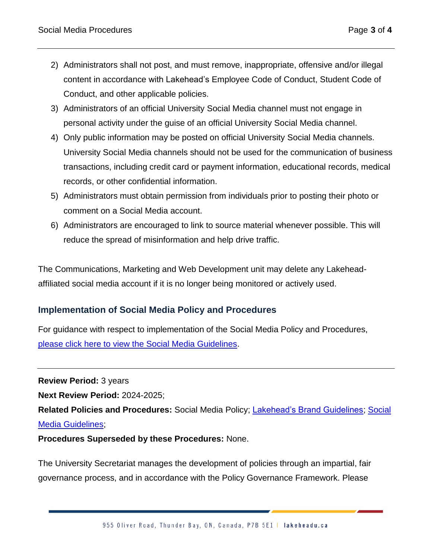- 2) Administrators shall not post, and must remove, inappropriate, offensive and/or illegal content in accordance with Lakehead's Employee Code of Conduct, Student Code of Conduct, and other applicable policies.
- 3) Administrators of an official University Social Media channel must not engage in personal activity under the guise of an official University Social Media channel.
- 4) Only public information may be posted on official University Social Media channels. University Social Media channels should not be used for the communication of business transactions, including credit card or payment information, educational records, medical records, or other confidential information.
- 5) Administrators must obtain permission from individuals prior to posting their photo or comment on a Social Media account.
- 6) Administrators are encouraged to link to source material whenever possible. This will reduce the spread of misinformation and help drive traffic.

The Communications, Marketing and Web Development unit may delete any Lakeheadaffiliated social media account if it is no longer being monitored or actively used.

# **Implementation of Social Media Policy and Procedures**

For guidance with respect to implementation of the Social Media Policy and Procedures, please click here [to view the Social Media Guidelines.](https://www.lakeheadu.ca/faculty-and-staff/departments/services/marketing-communications/social/guidelines)

**Review Period:** 3 years

**Next Review Period:** 2024-2025;

**Related Policies and Procedures:** Social Media Policy; [Lakehead's Brand Guidelines;](https://www.lakeheadu.ca/faculty-and-staff/departments/services/marketing-communications/marketing/brand-guidelines) [Social](https://www.lakeheadu.ca/faculty-and-staff/departments/services/marketing-communications/social/guidelines)  [Media Guidelines;](https://www.lakeheadu.ca/faculty-and-staff/departments/services/marketing-communications/social/guidelines)

**Procedures Superseded by these Procedures:** None.

The University Secretariat manages the development of policies through an impartial, fair governance process, and in accordance with the Policy Governance Framework. Please